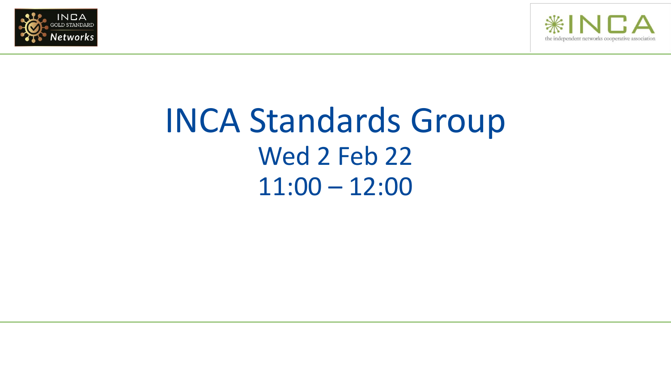



## INCA Standards Group Wed 2 Feb 22 11:00 – 12:00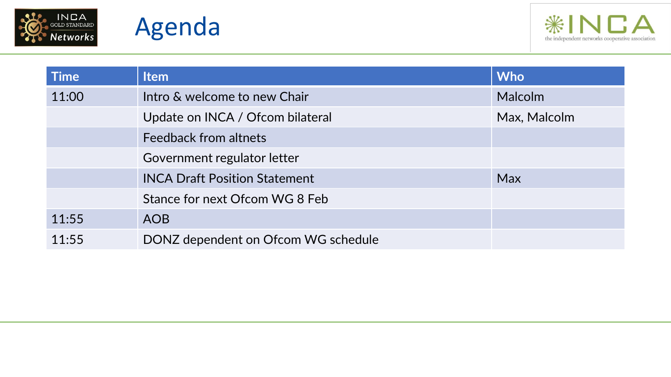





| <b>Time</b> | <b>Item</b>                          | <b>Who</b>     |
|-------------|--------------------------------------|----------------|
| 11:00       | Intro & welcome to new Chair         | <b>Malcolm</b> |
|             | Update on INCA / Ofcom bilateral     | Max, Malcolm   |
|             | <b>Feedback from altnets</b>         |                |
|             | Government regulator letter          |                |
|             | <b>INCA Draft Position Statement</b> | <b>Max</b>     |
|             | Stance for next Ofcom WG 8 Feb       |                |
| 11:55       | <b>AOB</b>                           |                |
| 11:55       | DONZ dependent on Ofcom WG schedule  |                |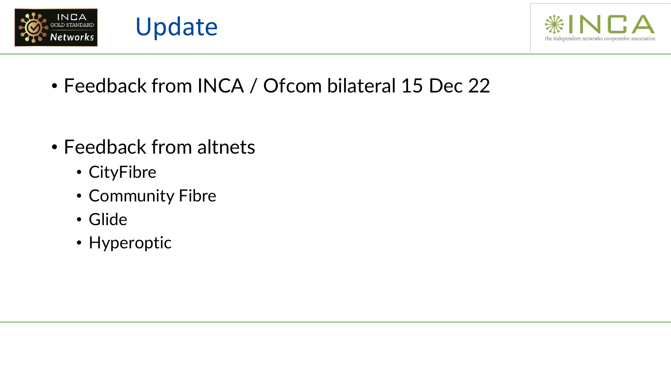



• Feedback from INCA / Ofcom bilateral 15 Dec 22

• Feedback from altnets

Update

- CityFibre
- Community Fibre
- Glide
- Hyperoptic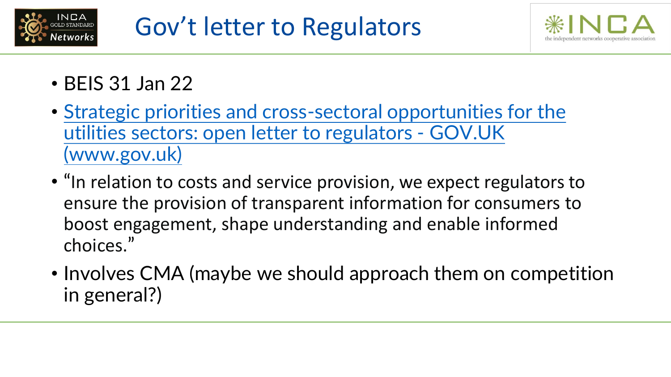



- BEIS 31 Jan 22
- [Strategic priorities and cross-sectoral opportunities for the](https://www.gov.uk/government/speeches/strategic-priorities-and-cross-sectoral-opportunities-for-the-utilities-sectors-open-letter-to-regulators)  utilities sectors: open letter to regulators - GOV.UK (www.gov.uk)
- "In relation to costs and service provision, we expect regulators to ensure the provision of transparent information for consumers to boost engagement, shape understanding and enable informed choices."
- Involves CMA (maybe we should approach them on competition in general?)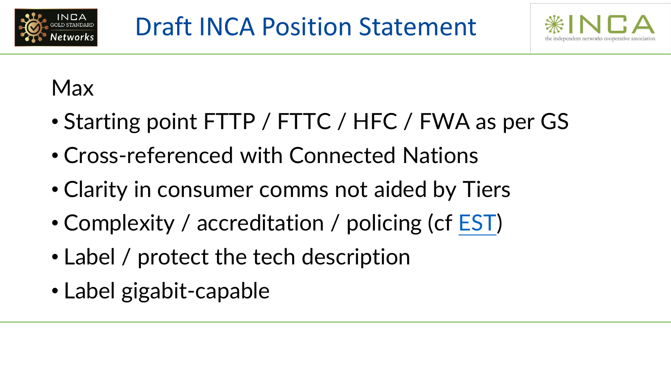



## Max

- Starting point FTTP / FTTC / HFC / FWA as per GS
- Cross-referenced with Connected Nations
- Clarity in consumer comms not aided by Tiers
- Complexity / accreditation / policing (cf [EST\)](https://energysavingtrust.org.uk/)
- Label / protect the tech description
- Label gigabit-capable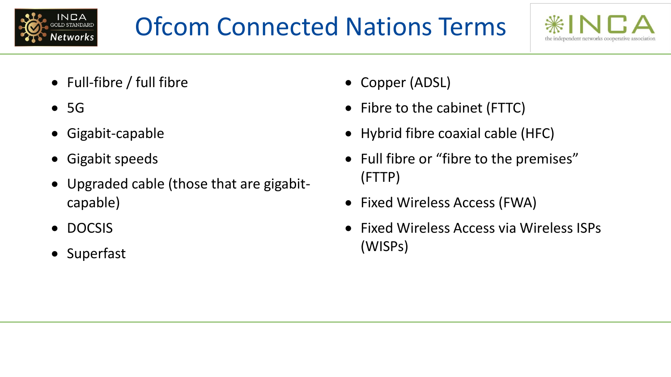



- Full-fibre / full fibre
- 5G
- Gigabit-capable
- Gigabit speeds
- Upgraded cable (those that are gigabitcapable)
- DOCSIS
- Superfast
- Copper (ADSL)
- Fibre to the cabinet (FTTC)
- Hybrid fibre coaxial cable (HFC)
- Full fibre or "fibre to the premises" (FTTP)
- Fixed Wireless Access (FWA)
- Fixed Wireless Access via Wireless ISPs (WISPs)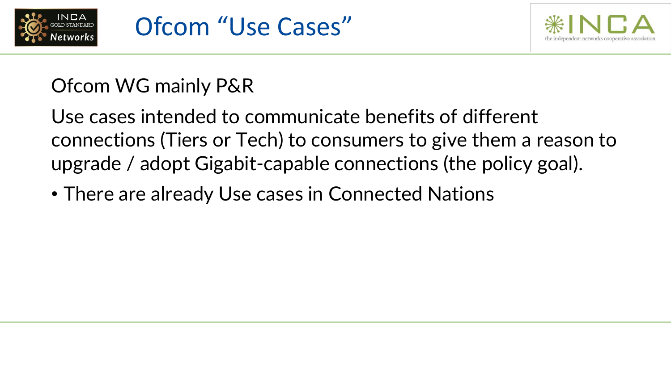



## Ofcom WG mainly P&R

Use cases intended to communicate benefits of different connections (Tiers or Tech) to consumers to give them a reason to upgrade / adopt Gigabit-capable connections (the policy goal).

• There are already Use cases in Connected Nations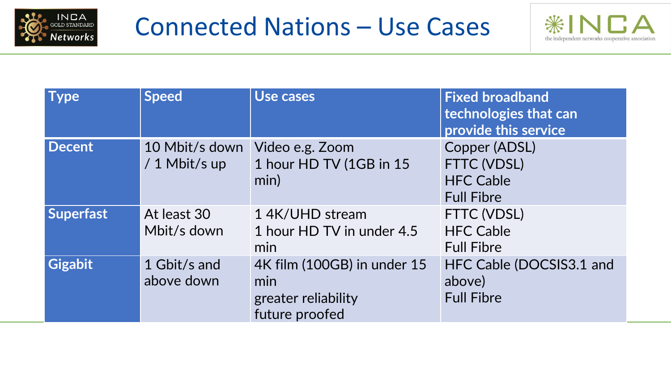



| <b>Type</b>      | <b>Speed</b>                    | Use cases                                                                   | <b>Fixed broadband</b><br>technologies that can<br>provide this service |
|------------------|---------------------------------|-----------------------------------------------------------------------------|-------------------------------------------------------------------------|
| <b>Decent</b>    | 10 Mbit/s down<br>/ 1 Mbit/s up | Video e.g. Zoom<br>1 hour HD TV (1GB in 15<br>min)                          | Copper (ADSL)<br>FTTC (VDSL)<br><b>HFC Cable</b><br><b>Full Fibre</b>   |
| <b>Superfast</b> | At least 30<br>Mbit/s down      | 1 4K/UHD stream<br>1 hour HD TV in under 4.5<br>min                         | FTTC (VDSL)<br><b>HFC Cable</b><br><b>Full Fibre</b>                    |
| <b>Gigabit</b>   | 1 Gbit/s and<br>above down      | 4K film (100GB) in under 15<br>min<br>greater reliability<br>future proofed | HFC Cable (DOCSIS3.1 and<br>above)<br><b>Full Fibre</b>                 |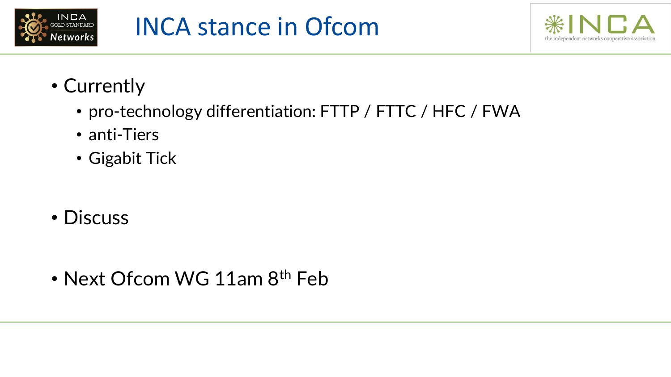



- Currently
	- pro-technology differentiation: FTTP / FTTC / HFC / FWA
	- anti-Tiers
	- Gigabit Tick
- Discuss

• Next Ofcom WG 11am 8<sup>th</sup> Feb